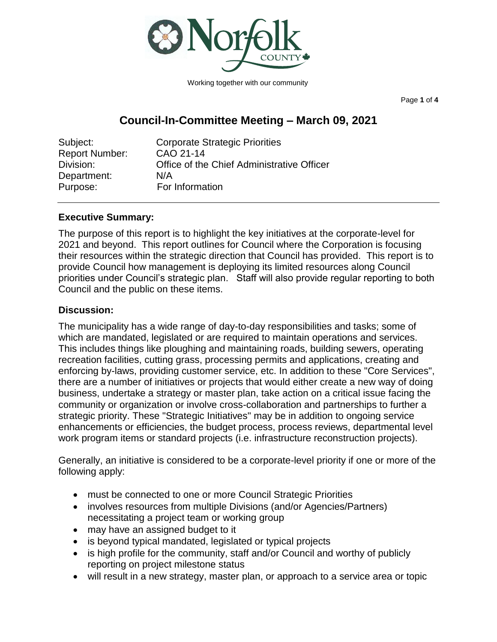

Working together with our community

Page **1** of **4**

# **Council-In-Committee Meeting – March 09, 2021**

| Subject:       | <b>Corporate Strategic Priorities</b>      |
|----------------|--------------------------------------------|
| Report Number: | CAO 21-14                                  |
| Division:      | Office of the Chief Administrative Officer |
| Department:    | N/A                                        |
| Purpose:       | For Information                            |

# **Executive Summary:**

The purpose of this report is to highlight the key initiatives at the corporate-level for 2021 and beyond. This report outlines for Council where the Corporation is focusing their resources within the strategic direction that Council has provided. This report is to provide Council how management is deploying its limited resources along Council priorities under Council's strategic plan. Staff will also provide regular reporting to both Council and the public on these items.

# **Discussion:**

The municipality has a wide range of day-to-day responsibilities and tasks; some of which are mandated, legislated or are required to maintain operations and services. This includes things like ploughing and maintaining roads, building sewers, operating recreation facilities, cutting grass, processing permits and applications, creating and enforcing by-laws, providing customer service, etc. In addition to these "Core Services", there are a number of initiatives or projects that would either create a new way of doing business, undertake a strategy or master plan, take action on a critical issue facing the community or organization or involve cross-collaboration and partnerships to further a strategic priority. These "Strategic Initiatives" may be in addition to ongoing service enhancements or efficiencies, the budget process, process reviews, departmental level work program items or standard projects (i.e. infrastructure reconstruction projects).

Generally, an initiative is considered to be a corporate-level priority if one or more of the following apply:

- must be connected to one or more Council Strategic Priorities
- involves resources from multiple Divisions (and/or Agencies/Partners) necessitating a project team or working group
- may have an assigned budget to it
- is beyond typical mandated, legislated or typical projects
- is high profile for the community, staff and/or Council and worthy of publicly reporting on project milestone status
- will result in a new strategy, master plan, or approach to a service area or topic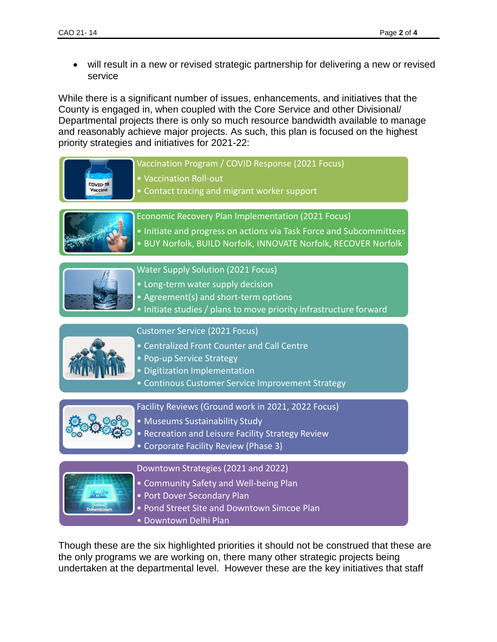• will result in a new or revised strategic partnership for delivering a new or revised service

While there is a significant number of issues, enhancements, and initiatives that the County is engaged in, when coupled with the Core Service and other Divisional/ Departmental projects there is only so much resource bandwidth available to manage and reasonably achieve major projects. As such, this plan is focused on the highest priority strategies and initiatives for 2021-22:

Vaccination Program / COVID Response (2021 Focus) • Vaccination Roll-out COVID-19 • Contact tracing and migrant worker support Economic Recovery Plan Implementation (2021 Focus) • Initiate and progress on actions via Task Force and Subcommittees • BUY Norfolk, BUILD Norfolk, INNOVATE Norfolk, RECOVER Norfolk Water Supply Solution (2021 Focus) • Long-term water supply decision • Agreement(s) and short-term options • Initiate studies / plans to move priority infrastructure forward Customer Service (2021 Focus) • Centralized Front Counter and Call Centre • Pop-up Service Strategy • Digitization Implementation • Continous Customer Service Improvement Strategy Facility Reviews (Ground work in 2021, 2022 Focus) • Museums Sustainability Study • Recreation and Leisure Facility Strategy Review • Corporate Facility Review (Phase 3) Downtown Strategies (2021 and 2022) • Community Safety and Well-being Plan • Port Dover Secondary Plan • Pond Street Site and Downtown Simcoe Plan • Downtown Delhi Plan

Though these are the six highlighted priorities it should not be construed that these are the only programs we are working on, there many other strategic projects being undertaken at the departmental level. However these are the key initiatives that staff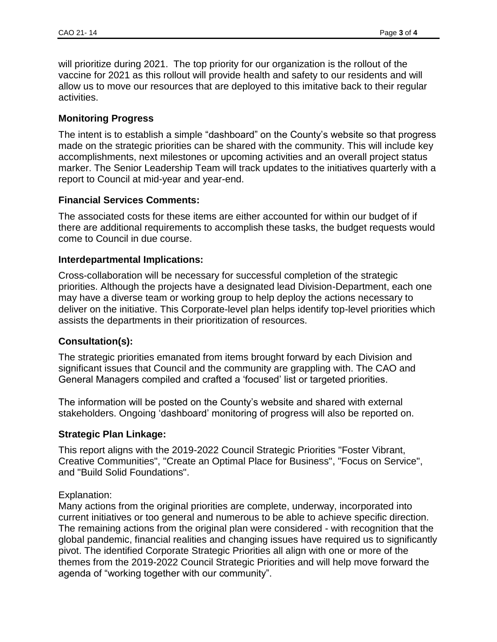will prioritize during 2021. The top priority for our organization is the rollout of the vaccine for 2021 as this rollout will provide health and safety to our residents and will allow us to move our resources that are deployed to this imitative back to their regular activities.

### **Monitoring Progress**

The intent is to establish a simple "dashboard" on the County's website so that progress made on the strategic priorities can be shared with the community. This will include key accomplishments, next milestones or upcoming activities and an overall project status marker. The Senior Leadership Team will track updates to the initiatives quarterly with a report to Council at mid-year and year-end.

# **Financial Services Comments:**

The associated costs for these items are either accounted for within our budget of if there are additional requirements to accomplish these tasks, the budget requests would come to Council in due course.

### **Interdepartmental Implications:**

Cross-collaboration will be necessary for successful completion of the strategic priorities. Although the projects have a designated lead Division-Department, each one may have a diverse team or working group to help deploy the actions necessary to deliver on the initiative. This Corporate-level plan helps identify top-level priorities which assists the departments in their prioritization of resources.

# **Consultation(s):**

The strategic priorities emanated from items brought forward by each Division and significant issues that Council and the community are grappling with. The CAO and General Managers compiled and crafted a 'focused' list or targeted priorities.

The information will be posted on the County's website and shared with external stakeholders. Ongoing 'dashboard' monitoring of progress will also be reported on.

### **Strategic Plan Linkage:**

This report aligns with the 2019-2022 Council Strategic Priorities "Foster Vibrant, Creative Communities", "Create an Optimal Place for Business", "Focus on Service", and "Build Solid Foundations".

### Explanation:

Many actions from the original priorities are complete, underway, incorporated into current initiatives or too general and numerous to be able to achieve specific direction. The remaining actions from the original plan were considered - with recognition that the global pandemic, financial realities and changing issues have required us to significantly pivot. The identified Corporate Strategic Priorities all align with one or more of the themes from the 2019-2022 Council Strategic Priorities and will help move forward the agenda of "working together with our community".